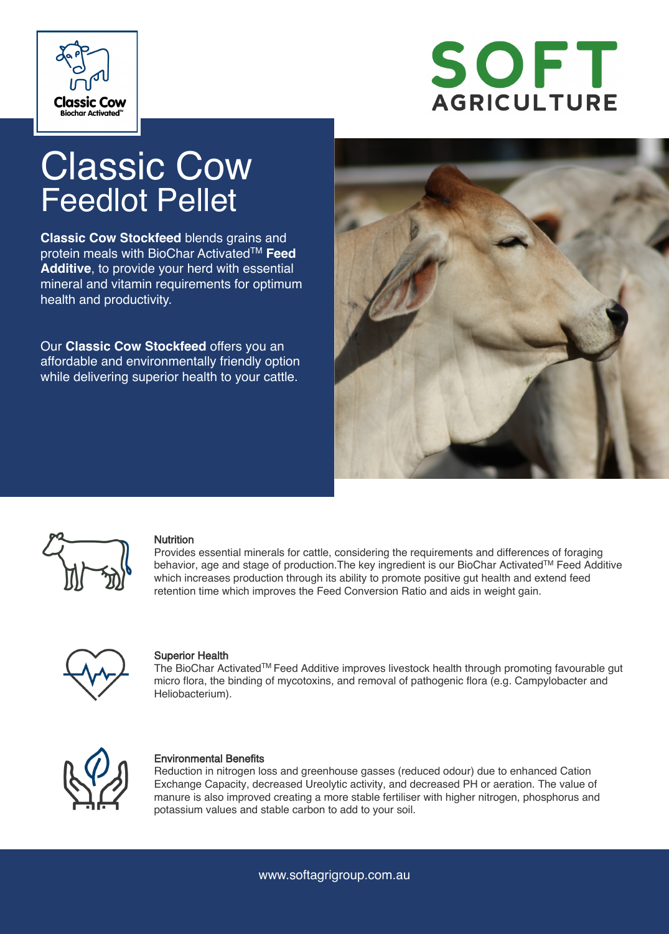



# Classic Cow Feedlot Pellet

**Classic Cow Stockfeed** blends grains and protein meals with BioChar ActivatedTM **Feed Additive**, to provide your herd with essential mineral and vitamin requirements for optimum health and productivity.

Our **Classic Cow Stockfeed** offers you an affordable and environmentally friendly option while delivering superior health to your cattle.





#### **Nutrition**

Provides essential minerals for cattle, considering the requirements and differences of foraging behavior, age and stage of production. The key ingredient is our BioChar Activated™ Feed Additive which increases production through its ability to promote positive gut health and extend feed retention time which improves the Feed Conversion Ratio and aids in weight gain.



#### Superior Health

The BioChar ActivatedTM Feed Additive improves livestock health through promoting favourable gut micro flora, the binding of mycotoxins, and removal of pathogenic flora (e.g. Campylobacter and Heliobacterium).



#### Environmental Benefits

Reduction in nitrogen loss and greenhouse gasses (reduced odour) due to enhanced Cation Exchange Capacity, decreased Ureolytic activity, and decreased PH or aeration. The value of manure is also improved creating a more stable fertiliser with higher nitrogen, phosphorus and potassium values and stable carbon to add to your soil.